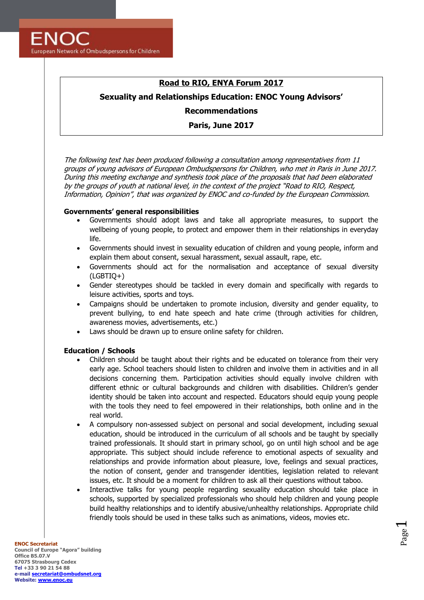**ENOC** European Network of Ombudspersons for Children

# **Road to RIO, ENYA Forum 2017**

## **Sexuality and Relationships Education: ENOC Young Advisors'**

**Recommendations**

**Paris, June 2017**

The following text has been produced following a consultation among representatives from 11 groups of young advisors of European Ombudspersons for Children, who met in Paris in June 2017. During this meeting exchange and synthesis took place of the proposals that had been elaborated by the groups of youth at national level, in the context of the project "Road to RIO, Respect, Information, Opinion", that was organized by ENOC and co-funded by the European Commission.

### **Governments' general responsibilities**

- Governments should adopt laws and take all appropriate measures, to support the wellbeing of young people, to protect and empower them in their relationships in everyday life.
- Governments should invest in sexuality education of children and young people, inform and explain them about consent, sexual harassment, sexual assault, rape, etc.
- Governments should act for the normalisation and acceptance of sexual diversity (LGBTIQ+)
- Gender stereotypes should be tackled in every domain and specifically with regards to leisure activities, sports and toys.
- Campaigns should be undertaken to promote inclusion, diversity and gender equality, to prevent bullying, to end hate speech and hate crime (through activities for children, awareness movies, advertisements, etc.)
- Laws should be drawn up to ensure online safety for children.

#### **Education / Schools**

- Children should be taught about their rights and be educated on tolerance from their very early age. School teachers should listen to children and involve them in activities and in all decisions concerning them. Participation activities should equally involve children with different ethnic or cultural backgrounds and children with disabilities. Children's gender identity should be taken into account and respected. Educators should equip young people with the tools they need to feel empowered in their relationships, both online and in the real world.
- A compulsory non-assessed subject on personal and social development, including sexual education, should be introduced in the curriculum of all schools and be taught by specially trained professionals. It should start in primary school, go on until high school and be age appropriate. This subject should include reference to emotional aspects of sexuality and relationships and provide information about pleasure, love, feelings and sexual practices, the notion of consent, gender and transgender identities, legislation related to relevant issues, etc. It should be a moment for children to ask all their questions without taboo.
- Interactive talks for young people regarding sexuality education should take place in schools, supported by specialized professionals who should help children and young people build healthy relationships and to identify abusive/unhealthy relationships. Appropriate child friendly tools should be used in these talks such as animations, videos, movies etc.

Page  $\overline{\phantom{0}}$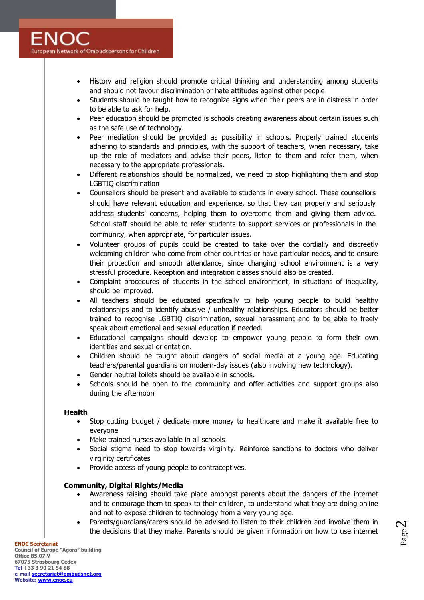- History and religion should promote critical thinking and understanding among students and should not favour discrimination or hate attitudes against other people
- Students should be taught how to recognize signs when their peers are in distress in order to be able to ask for help.
- Peer education should be promoted is schools creating awareness about certain issues such as the safe use of technology.
- Peer mediation should be provided as possibility in schools. Properly trained students adhering to standards and principles, with the support of teachers, when necessary, take up the role of mediators and advise their peers, listen to them and refer them, when necessary to the appropriate professionals.
- Different relationships should be normalized, we need to stop highlighting them and stop LGBTIQ discrimination
- Counsellors should be present and available to students in every school. These counsellors should have relevant education and experience, so that they can properly and seriously address students' concerns, helping them to overcome them and giving them advice. School staff should be able to refer students to support services or professionals in the community, when appropriate, for particular issues**.**
- Volunteer groups of pupils could be created to take over the cordially and discreetly welcoming children who come from other countries or have particular needs, and to ensure their protection and smooth attendance, since changing school environment is a very stressful procedure. Reception and integration classes should also be created.
- Complaint procedures of students in the school environment, in situations of inequality, should be improved.
- All teachers should be educated specifically to help young people to build healthy relationships and to identify abusive / unhealthy relationships. Educators should be better trained to recognise LGBTIQ discrimination, sexual harassment and to be able to freely speak about emotional and sexual education if needed.
- Educational campaigns should develop to empower young people to form their own identities and sexual orientation.
- Children should be taught about dangers of social media at a young age. Educating teachers/parental guardians on modern-day issues (also involving new technology).
- Gender neutral toilets should be available in schools.
- Schools should be open to the community and offer activities and support groups also during the afternoon

#### **Health**

- Stop cutting budget / dedicate more money to healthcare and make it available free to everyone
- Make trained nurses available in all schools
- Social stigma need to stop towards virginity. Reinforce sanctions to doctors who deliver virginity certificates
- Provide access of young people to contraceptives.

#### **Community, Digital Rights/Media**

- Awareness raising should take place amongst parents about the dangers of the internet and to encourage them to speak to their children, to understand what they are doing online and not to expose children to technology from a very young age.
- Parents/guardians/carers should be advised to listen to their children and involve them in the decisions that they make. Parents should be given information on how to use internet

**ENOC Secretariat Council of Europe "Agora" building Office B5.07.V 67075 Strasbourg Cedex Tel +33 3 90 21 54 88 e-mail [secretariat@ombudsnet.org](mailto:secretariat@ombudsnet.org) Website[: www.enoc.eu](http://www.enoc.eu/)**